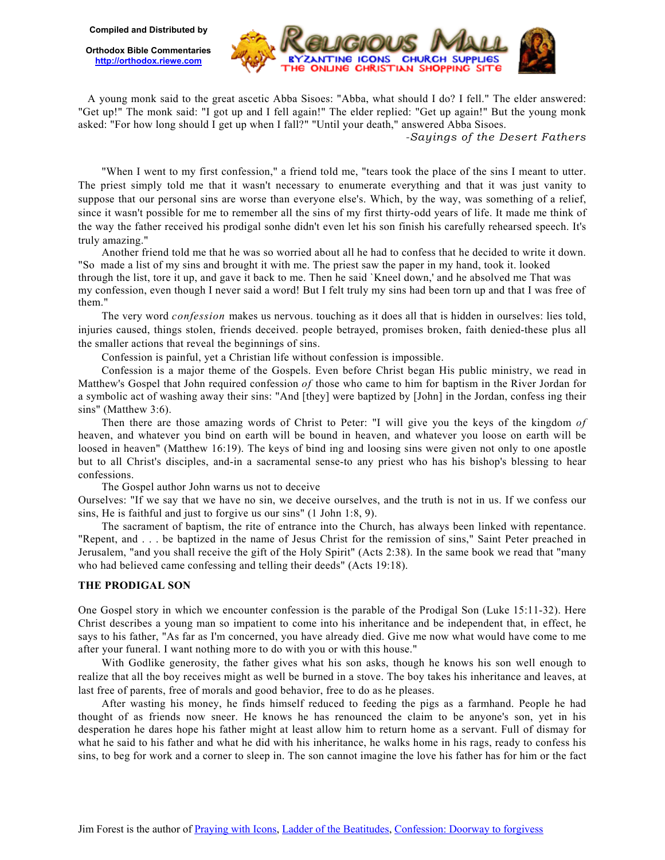**Compiled and Distributed by** 

**Orthodox Bible Commentaries http://orthodox.riewe.com**



A young monk said to the great ascetic Abba Sisoes: "Abba, what should I do? I fell." The elder answered: "Get up!" The monk said: "I got up and I fell again!" The elder replied: "Get up again!" But the young monk asked: "For how long should I get up when I fall?" "Until your death," answered Abba Sisoes.

*-Sayings of the Desert Fathers* 

"When I went to my first confession," a friend told me, "tears took the place of the sins I meant to utter. The priest simply told me that it wasn't necessary to enumerate everything and that it was just vanity to suppose that our personal sins are worse than everyone else's. Which, by the way, was something of a relief, since it wasn't possible for me to remember all the sins of my first thirty-odd years of life. It made me think of the way the father received his prodigal sonhe didn't even let his son finish his carefully rehearsed speech. It's truly amazing."

Another friend told me that he was so worried about all he had to confess that he decided to write it down. "So made a list of my sins and brought it with me. The priest saw the paper in my hand, took it. looked through the list, tore it up, and gave it back to me. Then he said `Kneel down,' and he absolved me That was my confession, even though I never said a word! But I felt truly my sins had been torn up and that I was free of them."

The very word *confession* makes us nervous. touching as it does all that is hidden in ourselves: lies told, injuries caused, things stolen, friends deceived. people betrayed, promises broken, faith denied-these plus all the smaller actions that reveal the beginnings of sins.

Confession is painful, yet a Christian life without confession is impossible.

Confession is a major theme of the Gospels. Even before Christ began His public ministry, we read in Matthew's Gospel that John required confession *of* those who came to him for baptism in the River Jordan for a symbolic act of washing away their sins: "And [they] were baptized by [John] in the Jordan, confess ing their sins" (Matthew 3:6).

Then there are those amazing words of Christ to Peter: "I will give you the keys of the kingdom *of*  heaven, and whatever you bind on earth will be bound in heaven, and whatever you loose on earth will be loosed in heaven" (Matthew 16:19). The keys of bind ing and loosing sins were given not only to one apostle but to all Christ's disciples, and-in a sacramental sense-to any priest who has his bishop's blessing to hear confessions.

The Gospel author John warns us not to deceive

Ourselves: "If we say that we have no sin, we deceive ourselves, and the truth is not in us. If we confess our sins, He is faithful and just to forgive us our sins" (1 John 1:8, 9).

The sacrament of baptism, the rite of entrance into the Church, has always been linked with repentance. "Repent, and . . . be baptized in the name of Jesus Christ for the remission of sins," Saint Peter preached in Jerusalem, "and you shall receive the gift of the Holy Spirit" (Acts 2:38). In the same book we read that "many who had believed came confessing and telling their deeds" (Acts 19:18).

## **THE PRODIGAL SON**

One Gospel story in which we encounter confession is the parable of the Prodigal Son (Luke 15:11-32). Here Christ describes a young man so impatient to come into his inheritance and be independent that, in effect, he says to his father, "As far as I'm concerned, you have already died. Give me now what would have come to me after your funeral. I want nothing more to do with you or with this house."

With Godlike generosity, the father gives what his son asks, though he knows his son well enough to realize that all the boy receives might as well be burned in a stove. The boy takes his inheritance and leaves, at last free of parents, free of morals and good behavior, free to do as he pleases.

After wasting his money, he finds himself reduced to feeding the pigs as a farmhand. People he had thought of as friends now sneer. He knows he has renounced the claim to be anyone's son, yet in his desperation he dares hope his father might at least allow him to return home as a servant. Full of dismay for what he said to his father and what he did with his inheritance, he walks home in his rags, ready to confess his sins, to beg for work and a corner to sleep in. The son cannot imagine the love his father has for him or the fact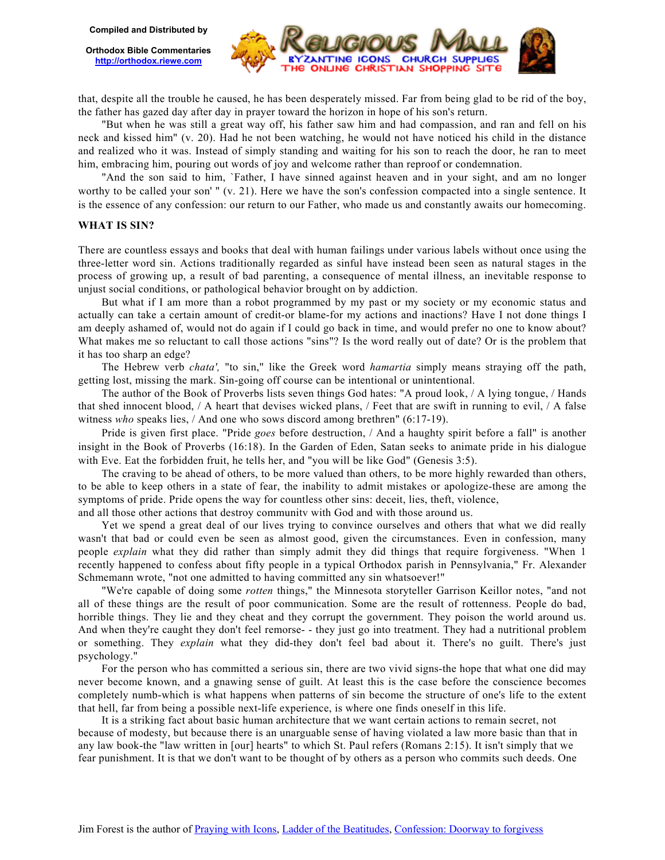

that, despite all the trouble he caused, he has been desperately missed. Far from being glad to be rid of the boy, the father has gazed day after day in prayer toward the horizon in hope of his son's return.

"But when he was still a great way off, his father saw him and had compassion, and ran and fell on his neck and kissed him" (v. 20). Had he not been watching, he would not have noticed his child in the distance and realized who it was. Instead of simply standing and waiting for his son to reach the door, he ran to meet him, embracing him, pouring out words of joy and welcome rather than reproof or condemnation.

"And the son said to him, `Father, I have sinned against heaven and in your sight, and am no longer worthy to be called your son' " (v. 21). Here we have the son's confession compacted into a single sentence. It is the essence of any confession: our return to our Father, who made us and constantly awaits our homecoming.

#### **WHAT IS SIN?**

There are countless essays and books that deal with human failings under various labels without once using the three-letter word sin. Actions traditionally regarded as sinful have instead been seen as natural stages in the process of growing up, a result of bad parenting, a consequence of mental illness, an inevitable response to unjust social conditions, or pathological behavior brought on by addiction.

But what if I am more than a robot programmed by my past or my society or my economic status and actually can take a certain amount of credit-or blame-for my actions and inactions? Have I not done things I am deeply ashamed of, would not do again if I could go back in time, and would prefer no one to know about? What makes me so reluctant to call those actions "sins"? Is the word really out of date? Or is the problem that it has too sharp an edge?

The Hebrew verb *chata',* "to sin," like the Greek word *hamartia* simply means straying off the path, getting lost, missing the mark. Sin-going off course can be intentional or unintentional.

The author of the Book of Proverbs lists seven things God hates: "A proud look, / A lying tongue, / Hands that shed innocent blood, / A heart that devises wicked plans, / Feet that are swift in running to evil, / A false witness *who* speaks lies, / And one who sows discord among brethren" (6:17-19).

Pride is given first place. "Pride *goes* before destruction, / And a haughty spirit before a fall" is another insight in the Book of Proverbs (16:18). In the Garden of Eden, Satan seeks to animate pride in his dialogue with Eve. Eat the forbidden fruit, he tells her, and "you will be like God" (Genesis 3:5).

The craving to be ahead of others, to be more valued than others, to be more highly rewarded than others, to be able to keep others in a state of fear, the inability to admit mistakes or apologize-these are among the symptoms of pride. Pride opens the way for countless other sins: deceit, lies, theft, violence, and all those other actions that destroy communitv with God and with those around us.

Yet we spend a great deal of our lives trying to convince ourselves and others that what we did really wasn't that bad or could even be seen as almost good, given the circumstances. Even in confession, many people *explain* what they did rather than simply admit they did things that require forgiveness. "When 1 recently happened to confess about fifty people in a typical Orthodox parish in Pennsylvania," Fr. Alexander Schmemann wrote, "not one admitted to having committed any sin whatsoever!"

"We're capable of doing some *rotten* things," the Minnesota storyteller Garrison Keillor notes, "and not all of these things are the result of poor communication. Some are the result of rottenness. People do bad, horrible things. They lie and they cheat and they corrupt the government. They poison the world around us. And when they're caught they don't feel remorse- - they just go into treatment. They had a nutritional problem or something. They *explain* what they did-they don't feel bad about it. There's no guilt. There's just psychology."

For the person who has committed a serious sin, there are two vivid signs-the hope that what one did may never become known, and a gnawing sense of guilt. At least this is the case before the conscience becomes completely numb-which is what happens when patterns of sin become the structure of one's life to the extent that hell, far from being a possible next-life experience, is where one finds oneself in this life.

It is a striking fact about basic human architecture that we want certain actions to remain secret, not because of modesty, but because there is an unarguable sense of having violated a law more basic than that in any law book-the "law written in [our] hearts" to which St. Paul refers (Romans 2:15). It isn't simply that we fear punishment. It is that we don't want to be thought of by others as a person who commits such deeds. One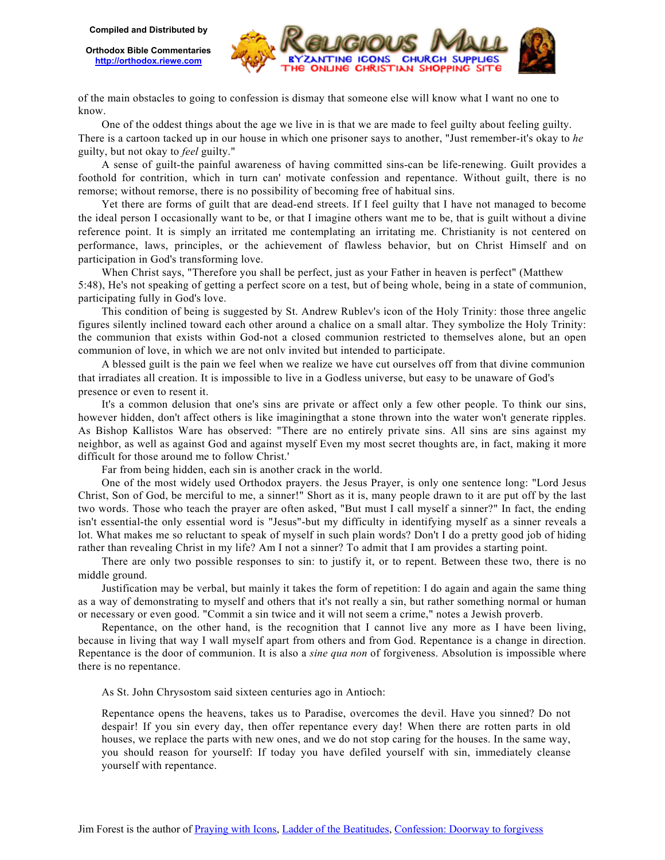#### **Compiled and Distributed by**

**Orthodox Bible Commentaries http://orthodox.riewe.com**



of the main obstacles to going to confession is dismay that someone else will know what I want no one to know.

One of the oddest things about the age we live in is that we are made to feel guilty about feeling guilty. There is a cartoon tacked up in our house in which one prisoner says to another, "Just remember-it's okay to *he*  guilty, but not okay to *feel* guilty."

A sense of guilt-the painful awareness of having committed sins-can be life-renewing. Guilt provides a foothold for contrition, which in turn can' motivate confession and repentance. Without guilt, there is no remorse; without remorse, there is no possibility of becoming free of habitual sins.

Yet there are forms of guilt that are dead-end streets. If I feel guilty that I have not managed to become the ideal person I occasionally want to be, or that I imagine others want me to be, that is guilt without a divine reference point. It is simply an irritated me contemplating an irritating me. Christianity is not centered on performance, laws, principles, or the achievement of flawless behavior, but on Christ Himself and on participation in God's transforming love.

When Christ says, "Therefore you shall be perfect, just as your Father in heaven is perfect" (Matthew 5:48), He's not speaking of getting a perfect score on a test, but of being whole, being in a state of communion, participating fully in God's love.

This condition of being is suggested by St. Andrew Rublev's icon of the Holy Trinity: those three angelic figures silently inclined toward each other around a chalice on a small altar. They symbolize the Holy Trinity: the communion that exists within God-not a closed communion restricted to themselves alone, but an open communion of love, in which we are not onlv invited but intended to participate.

A blessed guilt is the pain we feel when we realize we have cut ourselves off from that divine communion that irradiates all creation. It is impossible to live in a Godless universe, but easy to be unaware of God's presence or even to resent it.

It's a common delusion that one's sins are private or affect only a few other people. To think our sins, however hidden, don't affect others is like imaginingthat a stone thrown into the water won't generate ripples. As Bishop Kallistos Ware has observed: "There are no entirely private sins. All sins are sins against my neighbor, as well as against God and against myself Even my most secret thoughts are, in fact, making it more difficult for those around me to follow Christ.'

Far from being hidden, each sin is another crack in the world.

One of the most widely used Orthodox prayers. the Jesus Prayer, is only one sentence long: "Lord Jesus Christ, Son of God, be merciful to me, a sinner!" Short as it is, many people drawn to it are put off by the last two words. Those who teach the prayer are often asked, "But must I call myself a sinner?" In fact, the ending isn't essential-the only essential word is "Jesus"-but my difficulty in identifying myself as a sinner reveals a lot. What makes me so reluctant to speak of myself in such plain words? Don't I do a pretty good job of hiding rather than revealing Christ in my life? Am I not a sinner? To admit that I am provides a starting point.

There are only two possible responses to sin: to justify it, or to repent. Between these two, there is no middle ground.

Justification may be verbal, but mainly it takes the form of repetition: I do again and again the same thing as a way of demonstrating to myself and others that it's not really a sin, but rather something normal or human or necessary or even good. "Commit a sin twice and it will not seem a crime," notes a Jewish proverb.

Repentance, on the other hand, is the recognition that I cannot live any more as I have been living, because in living that way I wall myself apart from others and from God. Repentance is a change in direction. Repentance is the door of communion. It is also a *sine qua non* of forgiveness. Absolution is impossible where there is no repentance.

As St. John Chrysostom said sixteen centuries ago in Antioch:

Repentance opens the heavens, takes us to Paradise, overcomes the devil. Have you sinned? Do not despair! If you sin every day, then offer repentance every day! When there are rotten parts in old houses, we replace the parts with new ones, and we do not stop caring for the houses. In the same way, you should reason for yourself: If today you have defiled yourself with sin, immediately cleanse yourself with repentance.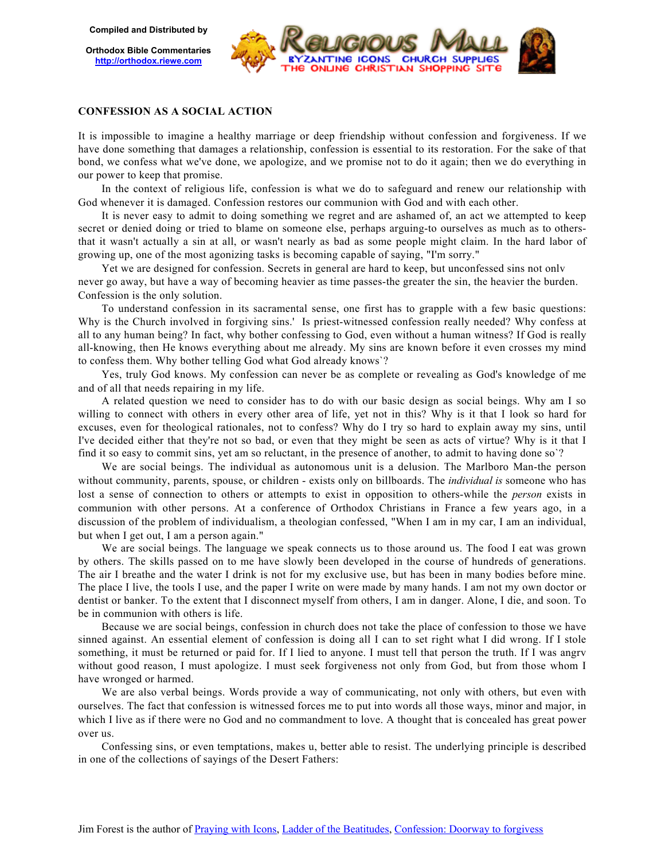

# **CONFESSION AS A SOCIAL ACTION**

It is impossible to imagine a healthy marriage or deep friendship without confession and forgiveness. If we have done something that damages a relationship, confession is essential to its restoration. For the sake of that bond, we confess what we've done, we apologize, and we promise not to do it again; then we do everything in our power to keep that promise.

In the context of religious life, confession is what we do to safeguard and renew our relationship with God whenever it is damaged. Confession restores our communion with God and with each other.

It is never easy to admit to doing something we regret and are ashamed of, an act we attempted to keep secret or denied doing or tried to blame on someone else, perhaps arguing-to ourselves as much as to othersthat it wasn't actually a sin at all, or wasn't nearly as bad as some people might claim. In the hard labor of growing up, one of the most agonizing tasks is becoming capable of saying, "I'm sorry."

Yet we are designed for confession. Secrets in general are hard to keep, but unconfessed sins not onlv never go away, but have a way of becoming heavier as time passes-the greater the sin, the heavier the burden. Confession is the only solution.

To understand confession in its sacramental sense, one first has to grapple with a few basic questions: Why is the Church involved in forgiving sins.' Is priest-witnessed confession really needed? Why confess at all to any human being? In fact, why bother confessing to God, even without a human witness? If God is really all-knowing, then He knows everything about me already. My sins are known before it even crosses my mind to confess them. Why bother telling God what God already knows`?

Yes, truly God knows. My confession can never be as complete or revealing as God's knowledge of me and of all that needs repairing in my life.

A related question we need to consider has to do with our basic design as social beings. Why am I so willing to connect with others in every other area of life, yet not in this? Why is it that I look so hard for excuses, even for theological rationales, not to confess? Why do I try so hard to explain away my sins, until I've decided either that they're not so bad, or even that they might be seen as acts of virtue? Why is it that I find it so easy to commit sins, yet am so reluctant, in the presence of another, to admit to having done so`?

We are social beings. The individual as autonomous unit is a delusion. The Marlboro Man-the person without community, parents, spouse, or children - exists only on billboards. The *individual is* someone who has lost a sense of connection to others or attempts to exist in opposition to others-while the *person* exists in communion with other persons. At a conference of Orthodox Christians in France a few years ago, in a discussion of the problem of individualism, a theologian confessed, "When I am in my car, I am an individual, but when I get out, I am a person again."

We are social beings. The language we speak connects us to those around us. The food I eat was grown by others. The skills passed on to me have slowly been developed in the course of hundreds of generations. The air I breathe and the water I drink is not for my exclusive use, but has been in many bodies before mine. The place I live, the tools I use, and the paper I write on were made by many hands. I am not my own doctor or dentist or banker. To the extent that I disconnect myself from others, I am in danger. Alone, I die, and soon. To be in communion with others is life.

Because we are social beings, confession in church does not take the place of confession to those we have sinned against. An essential element of confession is doing all I can to set right what I did wrong. If I stole something, it must be returned or paid for. If I lied to anyone. I must tell that person the truth. If I was angry without good reason, I must apologize. I must seek forgiveness not only from God, but from those whom I have wronged or harmed.

We are also verbal beings. Words provide a way of communicating, not only with others, but even with ourselves. The fact that confession is witnessed forces me to put into words all those ways, minor and major, in which I live as if there were no God and no commandment to love. A thought that is concealed has great power over us.

Confessing sins, or even temptations, makes u, better able to resist. The underlying principle is described in one of the collections of sayings of the Desert Fathers: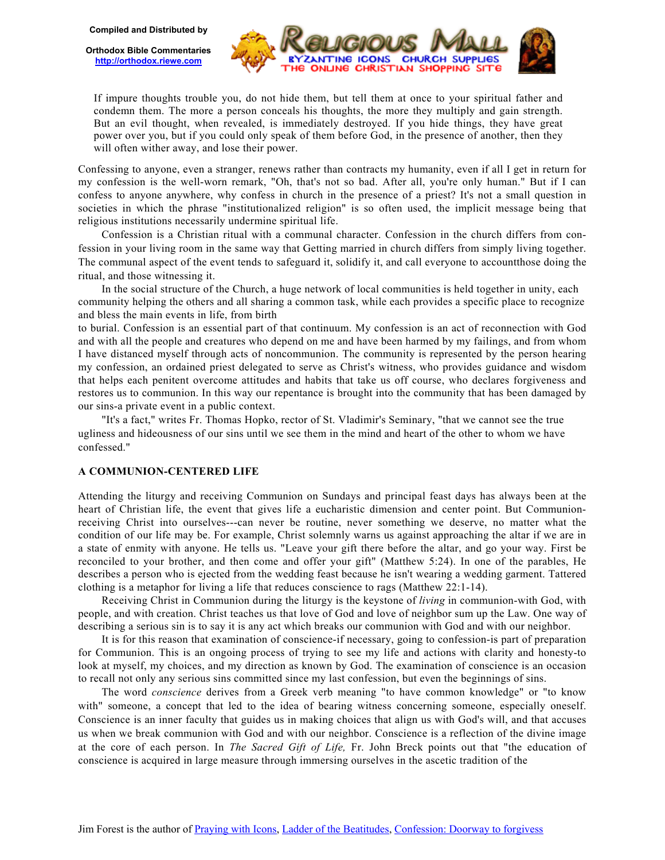

If impure thoughts trouble you, do not hide them, but tell them at once to your spiritual father and condemn them. The more a person conceals his thoughts, the more they multiply and gain strength. But an evil thought, when revealed, is immediately destroyed. If you hide things, they have great power over you, but if you could only speak of them before God, in the presence of another, then they will often wither away, and lose their power.

Confessing to anyone, even a stranger, renews rather than contracts my humanity, even if all I get in return for my confession is the well-worn remark, "Oh, that's not so bad. After all, you're only human." But if I can confess to anyone anywhere, why confess in church in the presence of a priest? It's not a small question in societies in which the phrase "institutionalized religion" is so often used, the implicit message being that religious institutions necessarily undermine spiritual life.

Confession is a Christian ritual with a communal character. Confession in the church differs from confession in your living room in the same way that Getting married in church differs from simply living together. The communal aspect of the event tends to safeguard it, solidify it, and call everyone to accountthose doing the ritual, and those witnessing it.

In the social structure of the Church, a huge network of local communities is held together in unity, each community helping the others and all sharing a common task, while each provides a specific place to recognize and bless the main events in life, from birth

to burial. Confession is an essential part of that continuum. My confession is an act of reconnection with God and with all the people and creatures who depend on me and have been harmed by my failings, and from whom I have distanced myself through acts of noncommunion. The community is represented by the person hearing my confession, an ordained priest delegated to serve as Christ's witness, who provides guidance and wisdom that helps each penitent overcome attitudes and habits that take us off course, who declares forgiveness and restores us to communion. In this way our repentance is brought into the community that has been damaged by our sins-a private event in a public context.

"It's a fact," writes Fr. Thomas Hopko, rector of St. Vladimir's Seminary, "that we cannot see the true ugliness and hideousness of our sins until we see them in the mind and heart of the other to whom we have confessed."

### **A COMMUNION-CENTERED LIFE**

Attending the liturgy and receiving Communion on Sundays and principal feast days has always been at the heart of Christian life, the event that gives life a eucharistic dimension and center point. But Communionreceiving Christ into ourselves---can never be routine, never something we deserve, no matter what the condition of our life may be. For example, Christ solemnly warns us against approaching the altar if we are in a state of enmity with anyone. He tells us. "Leave your gift there before the altar, and go your way. First be reconciled to your brother, and then come and offer your gift" (Matthew 5:24). In one of the parables, He describes a person who is ejected from the wedding feast because he isn't wearing a wedding garment. Tattered clothing is a metaphor for living a life that reduces conscience to rags (Matthew 22:1-14).

Receiving Christ in Communion during the liturgy is the keystone of *living* in communion-with God, with people, and with creation. Christ teaches us that love of God and love of neighbor sum up the Law. One way of describing a serious sin is to say it is any act which breaks our communion with God and with our neighbor.

It is for this reason that examination of conscience-if necessary, going to confession-is part of preparation for Communion. This is an ongoing process of trying to see my life and actions with clarity and honesty-to look at myself, my choices, and my direction as known by God. The examination of conscience is an occasion to recall not only any serious sins committed since my last confession, but even the beginnings of sins.

The word *conscience* derives from a Greek verb meaning "to have common knowledge" or "to know with" someone, a concept that led to the idea of bearing witness concerning someone, especially oneself. Conscience is an inner faculty that guides us in making choices that align us with God's will, and that accuses us when we break communion with God and with our neighbor. Conscience is a reflection of the divine image at the core of each person. In *The Sacred Gift of Life,* Fr. John Breck points out that "the education of conscience is acquired in large measure through immersing ourselves in the ascetic tradition of the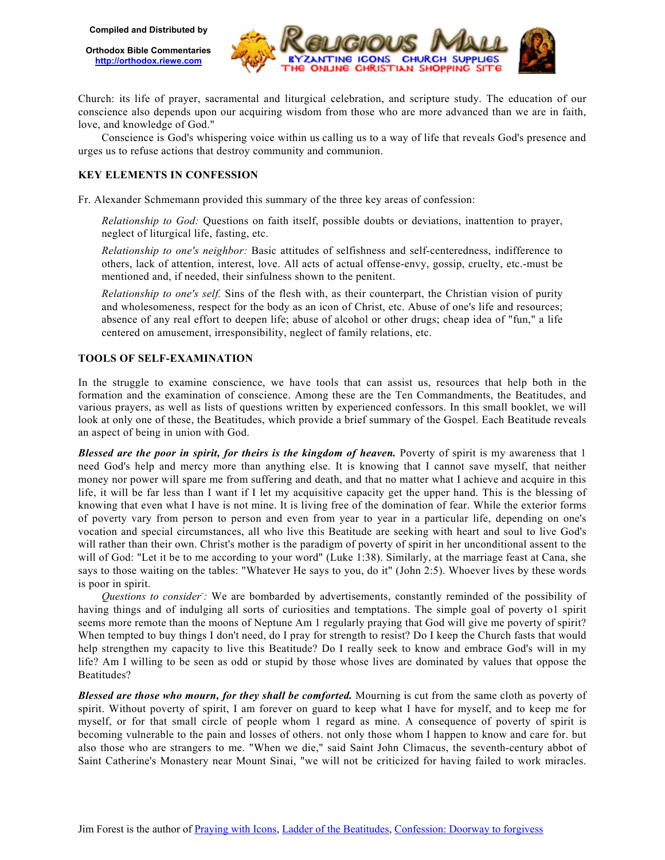

Church: its life of prayer, sacramental and liturgical celebration, and scripture study. The education of our conscience also depends upon our acquiring wisdom from those who are more advanced than we are in faith, love, and knowledge of God."

Conscience is God's whispering voice within us calling us to a way of life that reveals God's presence and urges us to refuse actions that destroy community and communion.

## **KEY ELEMENTS IN CONFESSION**

Fr. Alexander Schmemann provided this summary of the three key areas of confession:

*Relationship to God:* Questions on faith itself, possible doubts or deviations, inattention to prayer, neglect of liturgical life, fasting, etc.

*Relationship to one's neighbor:* Basic attitudes of selfishness and self-centeredness, indifference to others, lack of attention, interest, love. All acts of actual offense-envy, gossip, cruelty, etc.-must be mentioned and, if needed, their sinfulness shown to the penitent.

*Relationship to one's self.* Sins of the flesh with, as their counterpart, the Christian vision of purity and wholesomeness, respect for the body as an icon of Christ, etc. Abuse of one's life and resources; absence of any real effort to deepen life; abuse of alcohol or other drugs; cheap idea of "fun," a life centered on amusement, irresponsibility, neglect of family relations, etc.

## **TOOLS OF SELF-EXAMINATION**

In the struggle to examine conscience, we have tools that can assist us, resources that help both in the formation and the examination of conscience. Among these are the Ten Commandments, the Beatitudes, and various prayers, as well as lists of questions written by experienced confessors. In this small booklet, we will look at only one of these, the Beatitudes, which provide a brief summary of the Gospel. Each Beatitude reveals an aspect of being in union with God.

*Blessed are the poor in spirit, for theirs is the kingdom of heaven.* Poverty of spirit is my awareness that 1 need God's help and mercy more than anything else. It is knowing that I cannot save myself, that neither money nor power will spare me from suffering and death, and that no matter what I achieve and acquire in this life, it will be far less than I want if I let my acquisitive capacity get the upper hand. This is the blessing of knowing that even what I have is not mine. It is living free of the domination of fear. While the exterior forms of poverty vary from person to person and even from year to year in a particular life, depending on one's vocation and special circumstances, all who live this Beatitude are seeking with heart and soul to live God's will rather than their own. Christ's mother is the paradigm of poverty of spirit in her unconditional assent to the will of God: "Let it be to me according to your word" (Luke 1:38). Similarly, at the marriage feast at Cana, she says to those waiting on the tables: "Whatever He says to you, do it" (John 2:5). Whoever lives by these words is poor in spirit.

Questions to consider<sup>*:*</sup>: We are bombarded by advertisements, constantly reminded of the possibility of having things and of indulging all sorts of curiosities and temptations. The simple goal of poverty o1 spirit seems more remote than the moons of Neptune Am 1 regularly praying that God will give me poverty of spirit? When tempted to buy things I don't need, do I pray for strength to resist? Do I keep the Church fasts that would help strengthen my capacity to live this Beatitude? Do I really seek to know and embrace God's will in my life? Am I willing to be seen as odd or stupid by those whose lives are dominated by values that oppose the Beatitudes?

*Blessed are those who mourn, for they shall be comforted.* Mourning is cut from the same cloth as poverty of spirit. Without poverty of spirit, I am forever on guard to keep what I have for myself, and to keep me for myself, or for that small circle of people whom 1 regard as mine. A consequence of poverty of spirit is becoming vulnerable to the pain and losses of others. not only those whom I happen to know and care for. but also those who are strangers to me. "When we die," said Saint John Climacus, the seventh-century abbot of Saint Catherine's Monastery near Mount Sinai, "we will not be criticized for having failed to work miracles.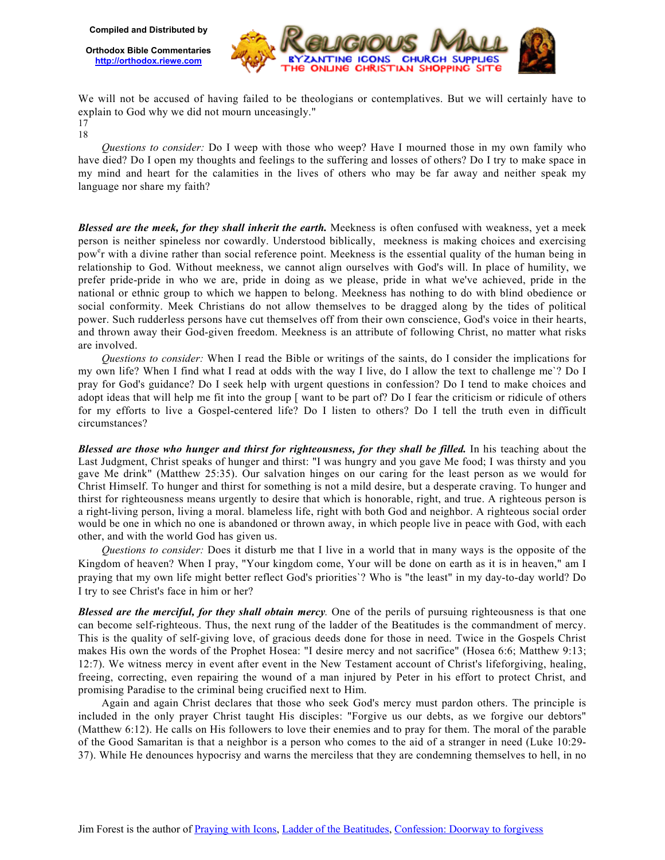

We will not be accused of having failed to be theologians or contemplatives. But we will certainly have to explain to God why we did not mourn unceasingly." 17

18

*Questions to consider:* Do I weep with those who weep? Have I mourned those in my own family who have died? Do I open my thoughts and feelings to the suffering and losses of others? Do I try to make space in my mind and heart for the calamities in the lives of others who may be far away and neither speak my language nor share my faith?

*Blessed are the meek, for they shall inherit the earth.* Meekness is often confused with weakness, yet a meek person is neither spineless nor cowardly. Understood biblically, meekness is making choices and exercising pow<sup>e</sup>r with a divine rather than social reference point. Meekness is the essential quality of the human being in relationship to God. Without meekness, we cannot align ourselves with God's will. In place of humility, we prefer pride-pride in who we are, pride in doing as we please, pride in what we've achieved, pride in the national or ethnic group to which we happen to belong. Meekness has nothing to do with blind obedience or social conformity. Meek Christians do not allow themselves to be dragged along by the tides of political power. Such rudderless persons have cut themselves off from their own conscience, God's voice in their hearts, and thrown away their God-given freedom. Meekness is an attribute of following Christ, no matter what risks are involved.

*Questions to consider:* When I read the Bible or writings of the saints, do I consider the implications for my own life? When I find what I read at odds with the way I live, do I allow the text to challenge me`? Do I pray for God's guidance? Do I seek help with urgent questions in confession? Do I tend to make choices and adopt ideas that will help me fit into the group [ want to be part of? Do I fear the criticism or ridicule of others for my efforts to live a Gospel-centered life? Do I listen to others? Do I tell the truth even in difficult circumstances?

*Blessed are those who hunger and thirst for righteousness, for they shall be filled.* In his teaching about the Last Judgment, Christ speaks of hunger and thirst: "I was hungry and you gave Me food; I was thirsty and you gave Me drink" (Matthew 25:35). Our salvation hinges on our caring for the least person as we would for Christ Himself. To hunger and thirst for something is not a mild desire, but a desperate craving. To hunger and thirst for righteousness means urgently to desire that which is honorable, right, and true. A righteous person is a right-living person, living a moral. blameless life, right with both God and neighbor. A righteous social order would be one in which no one is abandoned or thrown away, in which people live in peace with God, with each other, and with the world God has given us.

*Questions to consider:* Does it disturb me that I live in a world that in many ways is the opposite of the Kingdom of heaven? When I pray, "Your kingdom come, Your will be done on earth as it is in heaven," am I praying that my own life might better reflect God's priorities`? Who is "the least" in my day-to-day world? Do I try to see Christ's face in him or her?

*Blessed are the merciful, for they shall obtain mercy.* One of the perils of pursuing righteousness is that one can become self-righteous. Thus, the next rung of the ladder of the Beatitudes is the commandment of mercy. This is the quality of self-giving love, of gracious deeds done for those in need. Twice in the Gospels Christ makes His own the words of the Prophet Hosea: "I desire mercy and not sacrifice" (Hosea 6:6; Matthew 9:13; 12:7). We witness mercy in event after event in the New Testament account of Christ's lifeforgiving, healing, freeing, correcting, even repairing the wound of a man injured by Peter in his effort to protect Christ, and promising Paradise to the criminal being crucified next to Him.

Again and again Christ declares that those who seek God's mercy must pardon others. The principle is included in the only prayer Christ taught His disciples: "Forgive us our debts, as we forgive our debtors" (Matthew 6:12). He calls on His followers to love their enemies and to pray for them. The moral of the parable of the Good Samaritan is that a neighbor is a person who comes to the aid of a stranger in need (Luke 10:29- 37). While He denounces hypocrisy and warns the merciless that they are condemning themselves to hell, in no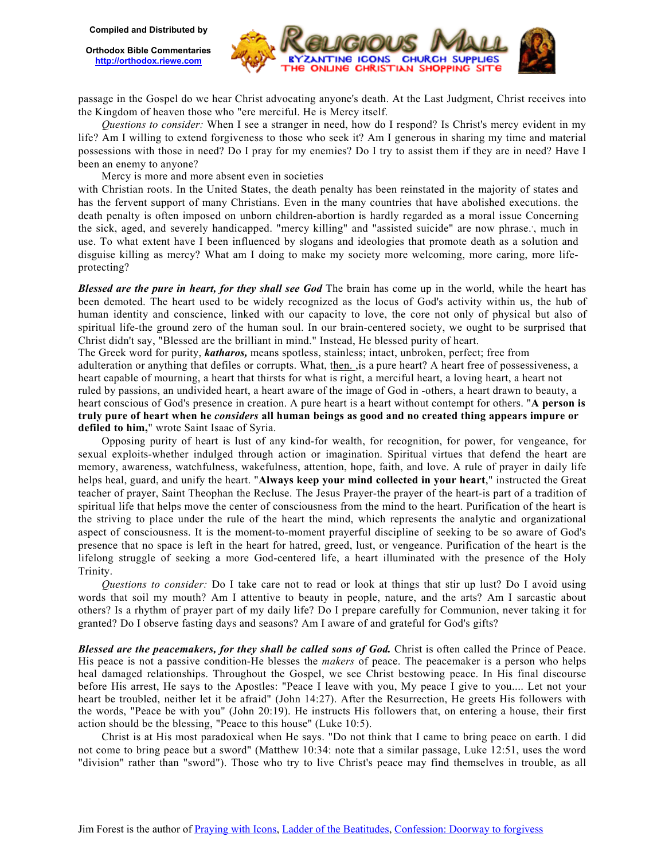#### **Compiled and Distributed by**

**Orthodox Bible Commentaries http://orthodox.riewe.com**



passage in the Gospel do we hear Christ advocating anyone's death. At the Last Judgment, Christ receives into the Kingdom of heaven those who "ere merciful. He is Mercy itself.

*Questions to consider:* When I see a stranger in need, how do I respond? Is Christ's mercy evident in my life? Am I willing to extend forgiveness to those who seek it? Am I generous in sharing my time and material possessions with those in need? Do I pray for my enemies? Do I try to assist them if they are in need? Have I been an enemy to anyone?

Mercy is more and more absent even in societies

with Christian roots. In the United States, the death penalty has been reinstated in the majority of states and has the fervent support of many Christians. Even in the many countries that have abolished executions. the death penalty is often imposed on unborn children-abortion is hardly regarded as a moral issue Concerning the sick, aged, and severely handicapped. "mercy killing" and "assisted suicide" are now phrase.<sup>2</sup>, much in use. To what extent have I been influenced by slogans and ideologies that promote death as a solution and disguise killing as mercy? What am I doing to make my society more welcoming, more caring, more lifeprotecting?

*Blessed are the pure in heart, for they shall see God* The brain has come up in the world, while the heart has been demoted. The heart used to be widely recognized as the locus of God's activity within us, the hub of human identity and conscience, linked with our capacity to love, the core not only of physical but also of spiritual life-the ground zero of the human soul. In our brain-centered society, we ought to be surprised that Christ didn't say, "Blessed are the brilliant in mind." Instead, He blessed purity of heart.

The Greek word for purity, *katharos,* means spotless, stainless; intact, unbroken, perfect; free from adulteration or anything that defiles or corrupts. What, then. ,is a pure heart? A heart free of possessiveness, a heart capable of mourning, a heart that thirsts for what is right, a merciful heart, a loving heart, a heart not ruled by passions, an undivided heart, a heart aware of the image of God in -others, a heart drawn to beauty, a heart conscious of God's presence in creation. A pure heart is a heart without contempt for others. "**A person is truly pure of heart when he** *considers* **all human beings as good and no created thing appears impure or defiled to him,**" wrote Saint Isaac of Syria.

Opposing purity of heart is lust of any kind-for wealth, for recognition, for power, for vengeance, for sexual exploits-whether indulged through action or imagination. Spiritual virtues that defend the heart are memory, awareness, watchfulness, wakefulness, attention, hope, faith, and love. A rule of prayer in daily life helps heal, guard, and unify the heart. "**Always keep your mind collected in your heart**," instructed the Great teacher of prayer, Saint Theophan the Recluse. The Jesus Prayer-the prayer of the heart-is part of a tradition of spiritual life that helps move the center of consciousness from the mind to the heart. Purification of the heart is the striving to place under the rule of the heart the mind, which represents the analytic and organizational aspect of consciousness. It is the moment-to-moment prayerful discipline of seeking to be so aware of God's presence that no space is left in the heart for hatred, greed, lust, or vengeance. Purification of the heart is the lifelong struggle of seeking a more God-centered life, a heart illuminated with the presence of the Holy Trinity.

*Questions to consider:* Do I take care not to read or look at things that stir up lust? Do I avoid using words that soil my mouth? Am I attentive to beauty in people, nature, and the arts? Am I sarcastic about others? Is a rhythm of prayer part of my daily life? Do I prepare carefully for Communion, never taking it for granted? Do I observe fasting days and seasons? Am I aware of and grateful for God's gifts?

*Blessed are the peacemakers, for they shall be called sons of God.* Christ is often called the Prince of Peace. His peace is not a passive condition-He blesses the *makers* of peace. The peacemaker is a person who helps heal damaged relationships. Throughout the Gospel, we see Christ bestowing peace. In His final discourse before His arrest, He says to the Apostles: "Peace I leave with you, My peace I give to you.... Let not your heart be troubled, neither let it be afraid" (John 14:27). After the Resurrection, He greets His followers with the words, "Peace be with you" (John 20:19). He instructs His followers that, on entering a house, their first action should be the blessing, "Peace to this house" (Luke 10:5).

Christ is at His most paradoxical when He says. "Do not think that I came to bring peace on earth. I did not come to bring peace but a sword" (Matthew 10:34: note that a similar passage, Luke 12:51, uses the word "division" rather than "sword"). Those who try to live Christ's peace may find themselves in trouble, as all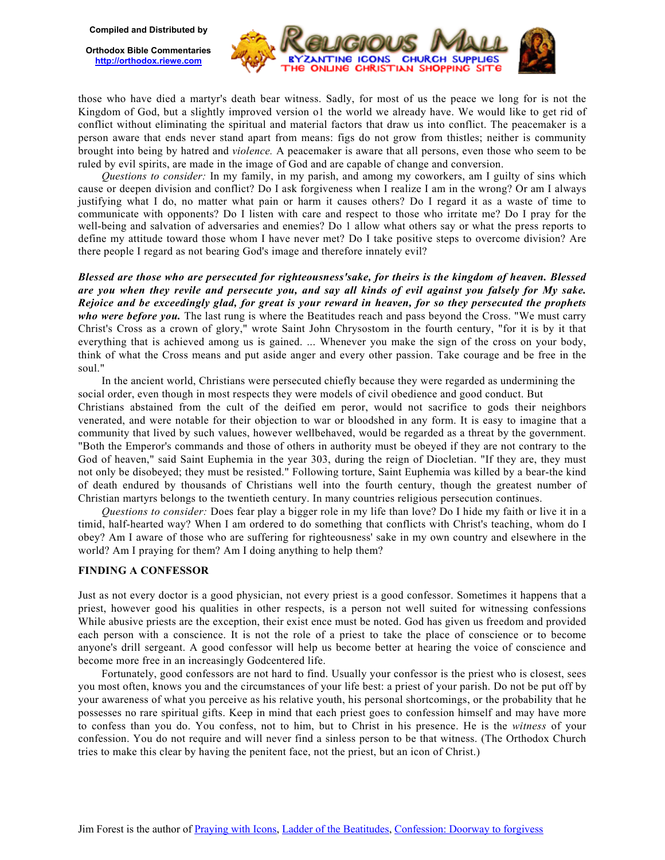

those who have died a martyr's death bear witness. Sadly, for most of us the peace we long for is not the Kingdom of God, but a slightly improved version o1 the world we already have. We would like to get rid of conflict without eliminating the spiritual and material factors that draw us into conflict. The peacemaker is a person aware that ends never stand apart from means: figs do not grow from thistles; neither is community brought into being by hatred and *violence.* A peacemaker is aware that all persons, even those who seem to be ruled by evil spirits, are made in the image of God and are capable of change and conversion.

*Questions to consider:* In my family, in my parish, and among my coworkers, am I guilty of sins which cause or deepen division and conflict? Do I ask forgiveness when I realize I am in the wrong? Or am I always justifying what I do, no matter what pain or harm it causes others? Do I regard it as a waste of time to communicate with opponents? Do I listen with care and respect to those who irritate me? Do I pray for the well-being and salvation of adversaries and enemies? Do 1 allow what others say or what the press reports to define my attitude toward those whom I have never met? Do I take positive steps to overcome division? Are there people I regard as not bearing God's image and therefore innately evil?

*Blessed are those who are persecuted for righteousness'sake, for theirs is the kingdom of heaven. Blessed are you when they revile and persecute you, and say all kinds of evil against you falsely for My sake. Rejoice and be exceedingly glad, for great is your reward in heaven, for so they persecuted the prophets who were before you.* The last rung is where the Beatitudes reach and pass beyond the Cross. "We must carry Christ's Cross as a crown of glory," wrote Saint John Chrysostom in the fourth century, "for it is by it that everything that is achieved among us is gained. ... Whenever you make the sign of the cross on your body, think of what the Cross means and put aside anger and every other passion. Take courage and be free in the soul."

In the ancient world, Christians were persecuted chiefly because they were regarded as undermining the social order, even though in most respects they were models of civil obedience and good conduct. But Christians abstained from the cult of the deified em peror, would not sacrifice to gods their neighbors venerated, and were notable for their objection to war or bloodshed in any form. It is easy to imagine that a community that lived by such values, however wellbehaved, would be regarded as a threat by the government. "Both the Emperor's commands and those of others in authority must be obeyed if they are not contrary to the God of heaven," said Saint Euphemia in the year 303, during the reign of Diocletian. "If they are, they must not only be disobeyed; they must be resisted." Following torture, Saint Euphemia was killed by a bear-the kind of death endured by thousands of Christians well into the fourth century, though the greatest number of Christian martyrs belongs to the twentieth century. In many countries religious persecution continues.

*Questions to consider:* Does fear play a bigger role in my life than love? Do I hide my faith or live it in a timid, half-hearted way? When I am ordered to do something that conflicts with Christ's teaching, whom do I obey? Am I aware of those who are suffering for righteousness' sake in my own country and elsewhere in the world? Am I praying for them? Am I doing anything to help them?

## **FINDING A CONFESSOR**

Just as not every doctor is a good physician, not every priest is a good confessor. Sometimes it happens that a priest, however good his qualities in other respects, is a person not well suited for witnessing confessions While abusive priests are the exception, their exist ence must be noted. God has given us freedom and provided each person with a conscience. It is not the role of a priest to take the place of conscience or to become anyone's drill sergeant. A good confessor will help us become better at hearing the voice of conscience and become more free in an increasingly Godcentered life.

Fortunately, good confessors are not hard to find. Usually your confessor is the priest who is closest, sees you most often, knows you and the circumstances of your life best: a priest of your parish. Do not be put off by your awareness of what you perceive as his relative youth, his personal shortcomings, or the probability that he possesses no rare spiritual gifts. Keep in mind that each priest goes to confession himself and may have more to confess than you do. You confess, not to him, but to Christ in his presence. He is the *witness* of your confession. You do not require and will never find a sinless person to be that witness. (The Orthodox Church tries to make this clear by having the penitent face, not the priest, but an icon of Christ.)